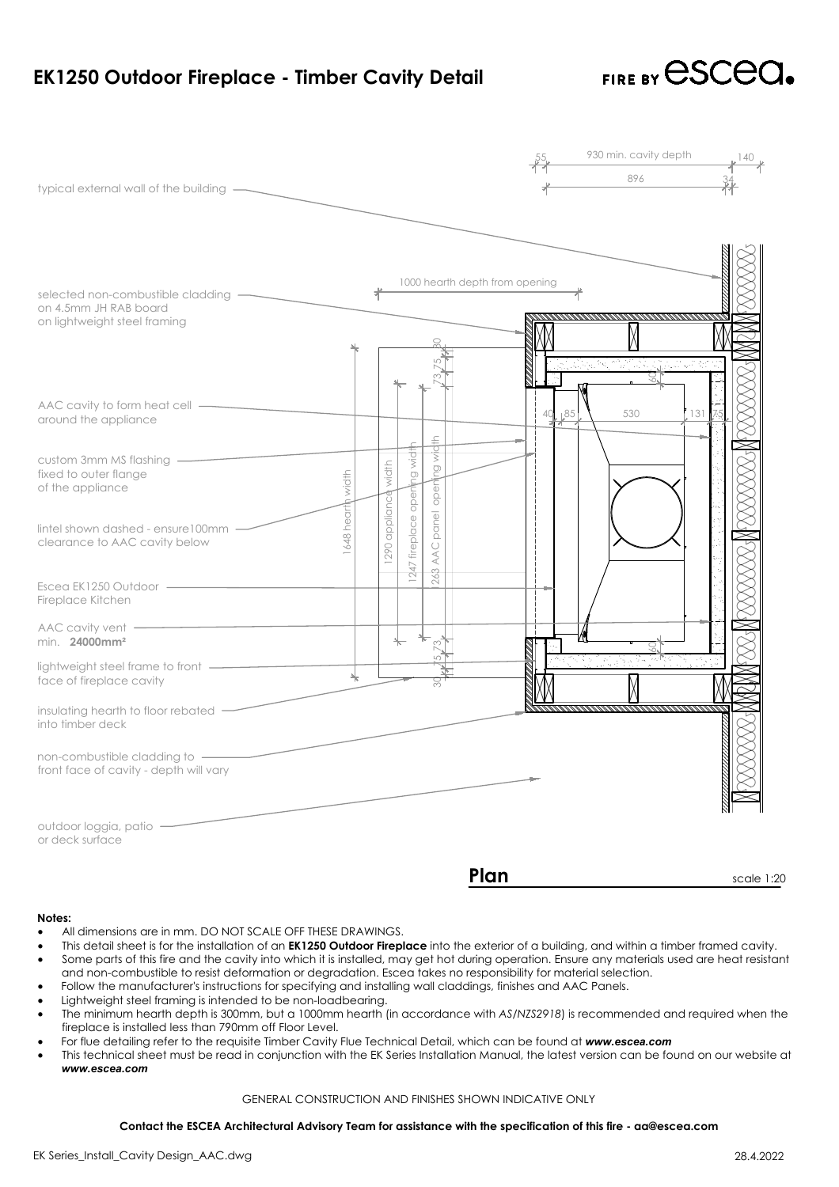

## **Notes:**

- All dimensions are in mm. DO NOT SCALE OFF THESE DRAWINGS.
- All dimensions are in mm. DO NOT SCALE OFF THESE DRAWINGS.<br>This detail sheet is for the installation of an **EK1250 Outdoor Fireplace** into the exterior of a building, and within of<br>Some parts of this fire and the cavity in vall dimensions are in mm. DO NOT SCALE OFF THESE DRAWINGS.<br>
• All dimensions are in mm. DO NOT SCALE OFF THESE DRAWINGS.<br>
• Some parts of this fire and the cavity into which it is installed, may get hot during operation. Notes:<br>• All dimensions are in mm. DO NOT SCALE OFF THESE DRAWIN<br>• This detail sheet is for the installation of an **EK1250 Outdoor Fir**<br>• Some parts of this fire and the cavity into which it is installed,<br>• Follow the manu • All dimensions are in mm. DO NOT SCALE OFF THESE DRAWINGS.<br>• This detail sheet is for the installation of an **EK1250 Outdoor Fireplace** into the exterior of a building, and within a timber framed cavity.<br>• Some parts of • All dimensions are in mm. DO NOT SCALE OFF THESE DRAWINGS.<br>• This detail sheet is for the installation of an **EK1250 Outdoor Fireplace** into the exterior of a building, and within a time<br>• Some parts of this fire and the
- 
- 
- 
- Follow the manufacturer's instructions for specifying and installing wall claddings, finishes and AAC Panels.<br>Lightweight steel framing is intended to be non-loadbearing.<br>The minimum hearth depth is 300mm, but a 1000mm hea and non-combustible to resist deformation or degradation. Escea takes no responsibility for material selection.<br>
Follow the manufacturer's instructions for specifying and installing wall claddings, finishes and AAC Panels.
- 
- For flue detailing refer to the requisite Timber Cavity Flue Technical Detail, which can be found at www.escea.com<br>This technical sheet must be read in conjunction with the EK Series Installation Manual, the latest version Contact the ESCEA Architectural Advisory Team for assistance with the specification of this fire - aa@escea.com<br>Contact the Forestian Action or degradation. Except the manufacturer's instructions for specifying and install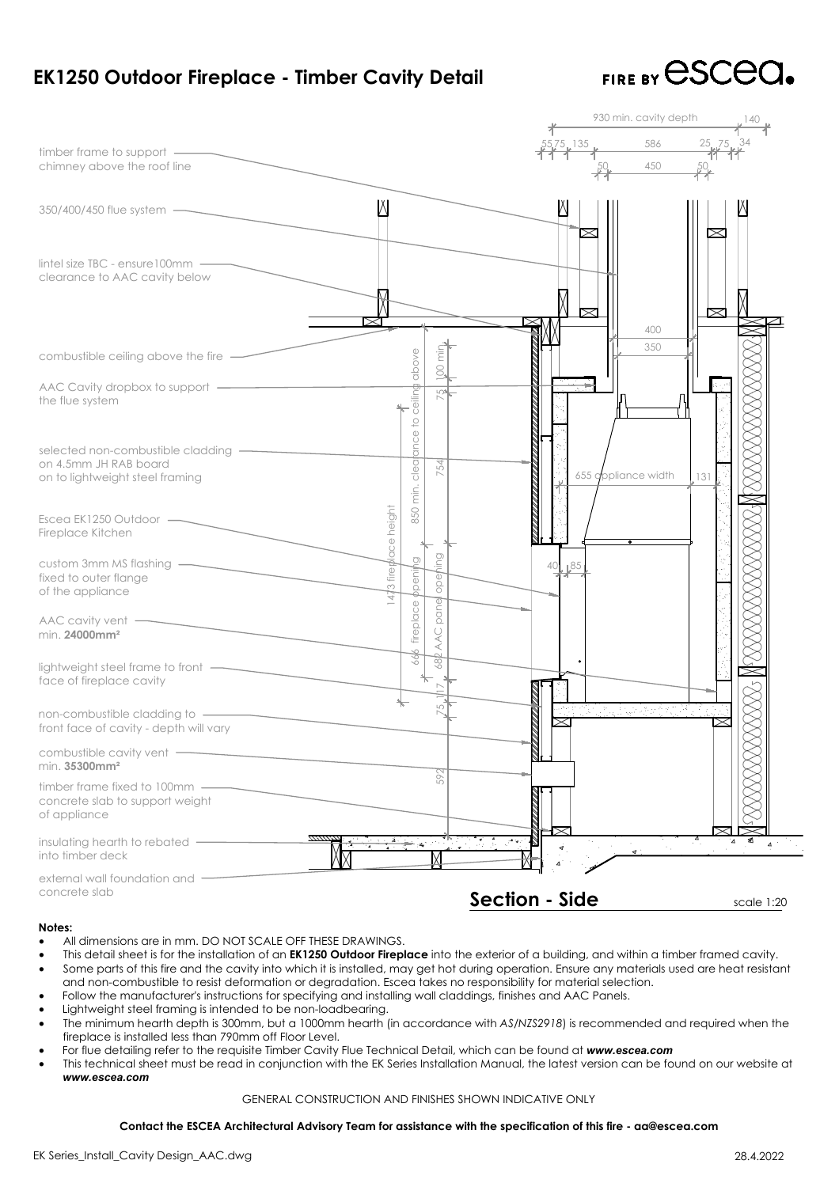

| EK1250 Outdoor Fireplace - Timber Cavity Detail                                                                                                                                                                                                                                                                                                                                                                                                                                                                                                                                                                                                                                                                                                                                                                                                                                                                                                                                                                                                                                                                                                                                                                                                                         |                                                                |                       | FIRE BY CSCCC                  |
|-------------------------------------------------------------------------------------------------------------------------------------------------------------------------------------------------------------------------------------------------------------------------------------------------------------------------------------------------------------------------------------------------------------------------------------------------------------------------------------------------------------------------------------------------------------------------------------------------------------------------------------------------------------------------------------------------------------------------------------------------------------------------------------------------------------------------------------------------------------------------------------------------------------------------------------------------------------------------------------------------------------------------------------------------------------------------------------------------------------------------------------------------------------------------------------------------------------------------------------------------------------------------|----------------------------------------------------------------|-----------------------|--------------------------------|
| timber frame to support ——<br>chimney above the roof line                                                                                                                                                                                                                                                                                                                                                                                                                                                                                                                                                                                                                                                                                                                                                                                                                                                                                                                                                                                                                                                                                                                                                                                                               |                                                                | 930 min. cavity depth | 586 25 <sub>kk</sub> 75<br>450 |
| 350/400/450 flue system —                                                                                                                                                                                                                                                                                                                                                                                                                                                                                                                                                                                                                                                                                                                                                                                                                                                                                                                                                                                                                                                                                                                                                                                                                                               | И                                                              |                       |                                |
| $line$ lintel size TBC - ensure $100$ mm $\longrightarrow$<br>clearance to AAC cavity below                                                                                                                                                                                                                                                                                                                                                                                                                                                                                                                                                                                                                                                                                                                                                                                                                                                                                                                                                                                                                                                                                                                                                                             |                                                                | $\propto$             | $\times$                       |
| combustible ceiling above the fire                                                                                                                                                                                                                                                                                                                                                                                                                                                                                                                                                                                                                                                                                                                                                                                                                                                                                                                                                                                                                                                                                                                                                                                                                                      | Ē                                                              |                       | 400<br>350                     |
| AAC Cavity dropbox to support -<br>the flue system                                                                                                                                                                                                                                                                                                                                                                                                                                                                                                                                                                                                                                                                                                                                                                                                                                                                                                                                                                                                                                                                                                                                                                                                                      | ceiling above                                                  |                       |                                |
| selected non-combustible cladding -<br>on 4.5mm JH RAB board<br>on to lightweight steel framing                                                                                                                                                                                                                                                                                                                                                                                                                                                                                                                                                                                                                                                                                                                                                                                                                                                                                                                                                                                                                                                                                                                                                                         | ance to<br>clear<br>54                                         | 655 appliance width   | 131                            |
| Escea EK1250 Outdoor —<br>Fireplace Kitchen                                                                                                                                                                                                                                                                                                                                                                                                                                                                                                                                                                                                                                                                                                                                                                                                                                                                                                                                                                                                                                                                                                                                                                                                                             | 850 min.                                                       |                       |                                |
| custom 3mm MS flashing<br>fixed to outer flange<br>of the appliance                                                                                                                                                                                                                                                                                                                                                                                                                                                                                                                                                                                                                                                                                                                                                                                                                                                                                                                                                                                                                                                                                                                                                                                                     | 3 fireplace height<br>hing<br><i><b>ppeni</b></i><br>opel      | 85 ا                  |                                |
| $AAC$ cavity vent $-$<br>min. 24000mm <sup>2</sup>                                                                                                                                                                                                                                                                                                                                                                                                                                                                                                                                                                                                                                                                                                                                                                                                                                                                                                                                                                                                                                                                                                                                                                                                                      | pane<br>fireplace<br>$\bigcirc$<br>Š                           |                       |                                |
| lightweight steel frame to front $\_\_$<br>face of fireplace cavity                                                                                                                                                                                                                                                                                                                                                                                                                                                                                                                                                                                                                                                                                                                                                                                                                                                                                                                                                                                                                                                                                                                                                                                                     |                                                                |                       |                                |
| non-combustible cladding to -<br>front face of cavity - depth will vary                                                                                                                                                                                                                                                                                                                                                                                                                                                                                                                                                                                                                                                                                                                                                                                                                                                                                                                                                                                                                                                                                                                                                                                                 |                                                                | (笑く) れんき せいじんかそうめい    |                                |
| combustible cavity vent -<br>min. 35300mm <sup>2</sup><br>timber frame fixed to 100mm -<br>concrete slab to support weight<br>of appliance                                                                                                                                                                                                                                                                                                                                                                                                                                                                                                                                                                                                                                                                                                                                                                                                                                                                                                                                                                                                                                                                                                                              | S                                                              |                       |                                |
| insulating hearth to rebated -<br>into timber deck                                                                                                                                                                                                                                                                                                                                                                                                                                                                                                                                                                                                                                                                                                                                                                                                                                                                                                                                                                                                                                                                                                                                                                                                                      | DA A                                                           | $\triangleleft$ :     |                                |
| external wall foundation and<br>concrete slab                                                                                                                                                                                                                                                                                                                                                                                                                                                                                                                                                                                                                                                                                                                                                                                                                                                                                                                                                                                                                                                                                                                                                                                                                           |                                                                | <b>Section - Side</b> | scale 1:20                     |
| Notes:<br>All dimensions are in mm. DO NOT SCALE OFF THESE DRAWINGS.<br>$\bullet$<br>This detail sheet is for the installation of an <b>EK1250 Outdoor Fireplace</b> into the exterior of a building, and within a timber framed cavity.<br>$\bullet$<br>Some parts of this fire and the cavity into which it is installed, may get hot during operation. Ensure any materials used are heat resistant<br>$\bullet$<br>and non-combustible to resist deformation or degradation. Escea takes no responsibility for material selection.<br>Follow the manufacturer's instructions for specifying and installing wall claddings, finishes and AAC Panels.<br>$\bullet$<br>Lightweight steel framing is intended to be non-loadbearing.<br>$\bullet$<br>The minimum hearth depth is 300mm, but a 1000mm hearth (in accordance with AS/NZS2918) is recommended and required when the<br>$\bullet$<br>fireplace is installed less than 790mm off Floor Level.<br>For flue detailing refer to the requisite Timber Cavity Flue Technical Detail, which can be found at www.escea.com<br>$\bullet$<br>This technical sheet must be read in conjunction with the EK Series Installation Manual, the latest version can be found on our website at<br>$\bullet$<br>www.escea.com | <b>GENERAL CONSTRUCTION AND FINISHES SHOWN INDICATIVE ONLY</b> |                       |                                |
| Contact the ESCEA Architectural Advisory Team for assistance with the specification of this fire - aa@escea.com                                                                                                                                                                                                                                                                                                                                                                                                                                                                                                                                                                                                                                                                                                                                                                                                                                                                                                                                                                                                                                                                                                                                                         |                                                                |                       |                                |
| EK Series_Install_Cavity Design_AAC.dwg                                                                                                                                                                                                                                                                                                                                                                                                                                                                                                                                                                                                                                                                                                                                                                                                                                                                                                                                                                                                                                                                                                                                                                                                                                 |                                                                |                       | 28.4.2022                      |

# **Notes:**

- All dimensions are in mm. DO NOT SCALE OFF THESE DRAWINGS.
- · This detail sheet is for the installation of an **EK1250 Outdoor Fireplace** into the exterior of a building, and within a timber framed cavity. All dimensions are in mm. DO NOT SCALE OFF THESE DRAWINGS.<br>This detail sheet is for the installation of an **EK1250 Outdoor Fireplace** into the exterior of a building, and within (<br>Some parts of this fire and the cavity int values:<br>• All dimensions are in mm. DO NOT SCALE OFF THESE DRAWINGS.<br>• This detail sheet is for the installation of an **EK1250 Outdoor Fireplace** into the exterior of a building, and wi<br>• Some parts of this fire and the ca Notes:<br>• All dimensions are in mm. DO NOT SCALE OFF THESE DRAWIN<br>• This detail sheet is for the installation of an **EK1250 Outdoor Fir**<br>• Some parts of this fire and the cavity into which it is installed,<br>• Follow the manu • All dimensions are in mm. DO NOT SCALE OFF THESE DRAWINGS.<br>• This detail sheet is for the installation of an **EK1250 Outdoor Fireplace** into the exterior of a building, and within a timber framed cavity.<br>• Some parts of For flue detailing refer to the requisite Timber Cavity Flue Technical Detail, which can be found at **Some parts** of this fire and the cavity into which it is installed, may get hot during operation. Ensure any materials a **Contact in the ESCEA Architectural Advisory Team for assistance with the specification of this fire - aa@escea.com**<br>
Contact the ESCEA Architectural Advisory Team for assistance with AS/NZS2918) is recommended and require
- 
- 
- Follow the manufacturer's instructions for specifying<br>Lightweight steel framing is intended to be non-load<br>The minimum hearth depth is 300mm, but a 1000mr<br>fireplace is installed less than 790mm off Floor Level. • This technical sheet must be read in conjunction with the EK Series Installation. Kannon Manual, the latest more instituted to be read in conjunctions.<br>• Lightweight steel framing is intended to be non-loadbearing.<br>• The ions for specifying and installing wall claddings, finishes and AAC if<br>led to be non-loadbearing.<br>mm, but a 1000mm hearth (in accordance with AS/NZS2918) is rec<br>nm off Floor Level.<br>liste Timber Cavity Flue Technical Detail
- 
-